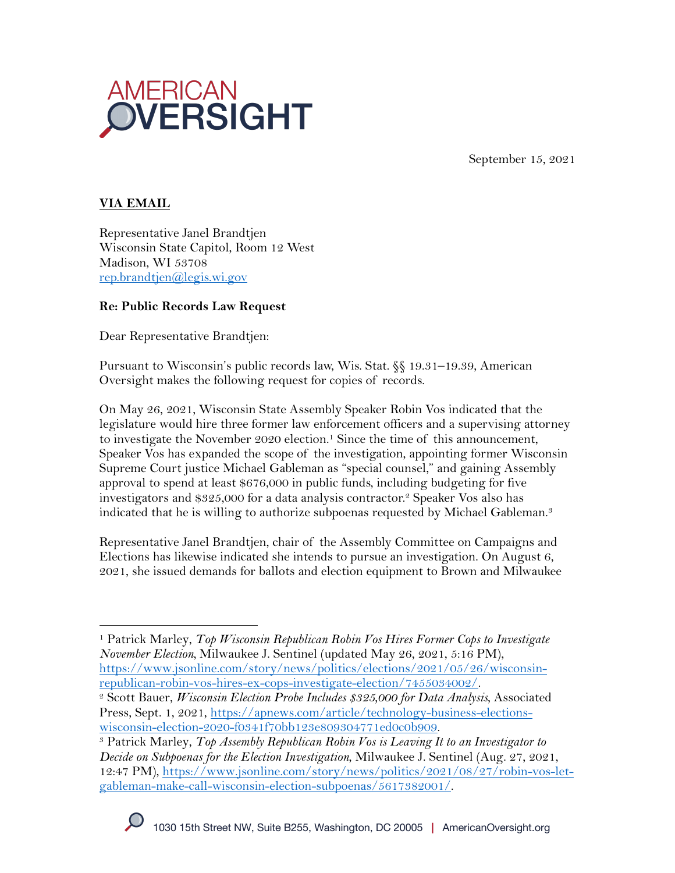

September 15, 2021

# **VIA EMAIL**

Representative Janel Brandtjen Wisconsin State Capitol, Room 12 West Madison, WI 53708 rep.brandtjen@legis.wi.gov

#### **Re: Public Records Law Request**

Dear Representative Brandtjen:

Pursuant to Wisconsin's public records law, Wis. Stat. §§ 19.31–19.39, American Oversight makes the following request for copies of records.

On May 26, 2021, Wisconsin State Assembly Speaker Robin Vos indicated that the legislature would hire three former law enforcement officers and a supervising attorney to investigate the November 2020 election.<sup>1</sup> Since the time of this announcement, Speaker Vos has expanded the scope of the investigation, appointing former Wisconsin Supreme Court justice Michael Gableman as "special counsel," and gaining Assembly approval to spend at least \$676,000 in public funds, including budgeting for five investigators and \$325,000 for a data analysis contractor.2 Speaker Vos also has indicated that he is willing to authorize subpoenas requested by Michael Gableman.<sup>3</sup>

Representative Janel Brandtjen, chair of the Assembly Committee on Campaigns and Elections has likewise indicated she intends to pursue an investigation. On August 6, 2021, she issued demands for ballots and election equipment to Brown and Milwaukee

<sup>1</sup> Patrick Marley, *Top Wisconsin Republican Robin Vos Hires Former Cops to Investigate November Election,* Milwaukee J. Sentinel (updated May 26, 2021, 5:16 PM), https://www.jsonline.com/story/news/politics/elections/2021/05/26/wisconsin-

republican-robin-vos-hires-ex-cops-investigate-election/7455034002/. 2 Scott Bauer, *Wisconsin Election Probe Includes \$325,000 for Data Analysis*, Associated Press, Sept. 1, 2021, https://apnews.com/article/technology-business-elections-<br>wisconsin-election-2020-f0341f70bb123e809304771ed0c0b909.

<sup>&</sup>lt;sup>3</sup> Patrick Marley, Top Assembly Republican Robin Vos is Leaving It to an Investigator to *Decide on Subpoenas for the Election Investigation*, Milwaukee J. Sentinel (Aug. 27, 2021, 12:47 PM), https://www.jsonline.com/story/news/politics/2021/08/27/robin-vos-letgableman-make-call-wisconsin-election-subpoenas/5617382001/.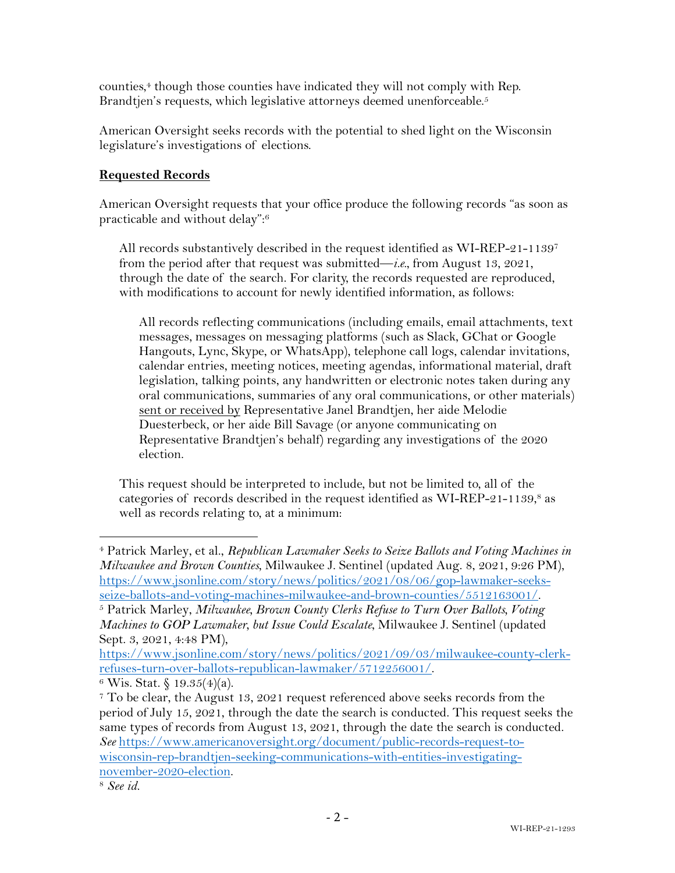counties,4 though those counties have indicated they will not comply with Rep. Brandtjen's requests, which legislative attorneys deemed unenforceable.<sup>5</sup>

American Oversight seeks records with the potential to shed light on the Wisconsin legislature's investigations of elections.

# **Requested Records**

American Oversight requests that your office produce the following records "as soon as practicable and without delay": 6

All records substantively described in the request identified as WI-REP-21-11397 from the period after that request was submitted—*i.e.*, from August 13, 2021, through the date of the search. For clarity, the records requested are reproduced, with modifications to account for newly identified information, as follows:

All records reflecting communications (including emails, email attachments, text messages, messages on messaging platforms (such as Slack, GChat or Google Hangouts, Lync, Skype, or WhatsApp), telephone call logs, calendar invitations, calendar entries, meeting notices, meeting agendas, informational material, draft legislation, talking points, any handwritten or electronic notes taken during any oral communications, summaries of any oral communications, or other materials) sent or received by Representative Janel Brandtjen, her aide Melodie Duesterbeck, or her aide Bill Savage (or anyone communicating on Representative Brandtjen's behalf) regarding any investigations of the 2020 election.

This request should be interpreted to include, but not be limited to, all of the categories of records described in the request identified as WI-REP-21-1139, <sup>8</sup> as well as records relating to, at a minimum:

<sup>4</sup> Patrick Marley, et al., *Republican Lawmaker Seeks to Seize Ballots and Voting Machines in Milwaukee and Brown Counties*, Milwaukee J. Sentinel (updated Aug. 8, 2021, 9:26 PM), https://www.jsonline.com/story/news/politics/2021/08/06/gop-lawmaker-seeksseize-ballots-and-voting-machines-milwaukee-and-brown-counties/5512163001/. 5 Patrick Marley, *Milwaukee, Brown County Clerks Refuse to Turn Over Ballots, Voting* 

*Machines to GOP Lawmaker, but Issue Could Escalate*, Milwaukee J. Sentinel (updated Sept. 3, 2021, 4:48 PM),

https://www.jsonline.com/story/news/politics/2021/09/03/milwaukee-county-clerkrefuses-turn-over-ballots-republican-lawmaker/5712256001/.<br><sup>6</sup> Wis. Stat. § 19.35(4)(a).

<sup>7</sup> To be clear, the August 13, 2021 request referenced above seeks records from the period of July 15, 2021, through the date the search is conducted. This request seeks the same types of records from August 13, 2021, through the date the search is conducted. *See* https://www.americanoversight.org/document/public-records-request-towisconsin-rep-brandtjen-seeking-communications-with-entities-investigatingnovember-2020-election.

<sup>8</sup> *See id.*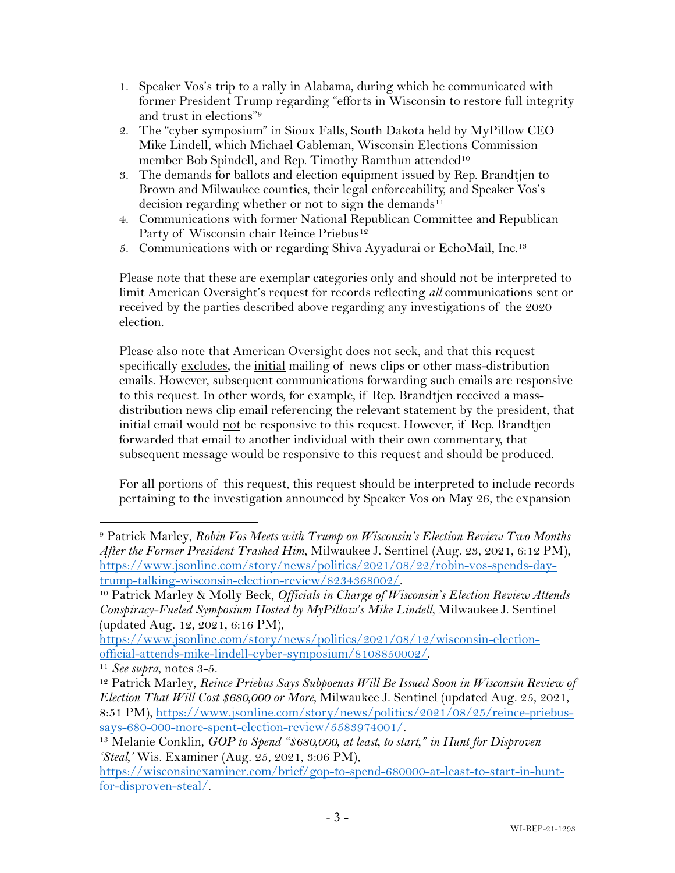- 1. Speaker Vos's trip to a rally in Alabama, during which he communicated with former President Trump regarding "efforts in Wisconsin to restore full integrity and trust in elections"9
- 2. The "cyber symposium" in Sioux Falls, South Dakota held by MyPillow CEO Mike Lindell, which Michael Gableman, Wisconsin Elections Commission member Bob Spindell, and Rep. Timothy Ramthun attended<sup>10</sup>
- 3. The demands for ballots and election equipment issued by Rep. Brandtjen to Brown and Milwaukee counties, their legal enforceability, and Speaker Vos's decision regarding whether or not to sign the demands<sup>11</sup>
- 4. Communications with former National Republican Committee and Republican Party of Wisconsin chair Reince Priebus<sup>12</sup>
- 5. Communications with or regarding Shiva Ayyadurai or EchoMail, Inc.13

Please note that these are exemplar categories only and should not be interpreted to limit American Oversight's request for records reflecting *all* communications sent or received by the parties described above regarding any investigations of the 2020 election.

Please also note that American Oversight does not seek, and that this request specifically excludes, the initial mailing of news clips or other mass-distribution emails. However, subsequent communications forwarding such emails are responsive to this request. In other words, for example, if Rep. Brandtjen received a massdistribution news clip email referencing the relevant statement by the president, that initial email would not be responsive to this request. However, if Rep. Brandtjen forwarded that email to another individual with their own commentary, that subsequent message would be responsive to this request and should be produced.

For all portions of this request, this request should be interpreted to include records pertaining to the investigation announced by Speaker Vos on May 26, the expansion

<sup>9</sup> Patrick Marley, *Robin Vos Meets with Trump on Wisconsin's Election Review Two Months After the Former President Trashed Him*, Milwaukee J. Sentinel (Aug. 23, 2021, 6:12 PM), https://www.jsonline.com/story/news/politics/2021/08/22/robin-vos-spends-daytrump-talking-wisconsin-election-review/8234368002/. 10 Patrick Marley & Molly Beck, *Officials in Charge of Wisconsin's Election Review Attends* 

*Conspiracy-Fueled Symposium Hosted by MyPillow's Mike Lindell*, Milwaukee J. Sentinel (updated Aug. 12, 2021, 6:16 PM),

https://www.jsonline.com/story/news/politics/2021/08/12/wisconsin-electionofficial-attends-mike-lindell-cyber-symposium/8108850002/. 11 *See supra*, notes 3-5.

<sup>&</sup>lt;sup>12</sup> Patrick Marley, *Reince Priebus Says Subpoenas Will Be Issued Soon in Wisconsin Review of Election That Will Cost \$680,000 or More*, Milwaukee J. Sentinel (updated Aug. 25, 2021, 8:51 PM), https://www.jsonline.com/story/news/politics/2021/08/25/reince-priebussays-680-000-more-spent-election-review/5583974001/. 13 Melanie Conklin, *GOP to Spend "\$680,000, at least, to start," in Hunt for Disproven* 

*<sup>&#</sup>x27;Steal,'* Wis. Examiner (Aug. 25, 2021, 3:06 PM),

https://wisconsinexaminer.com/brief/gop-to-spend-680000-at-least-to-start-in-huntfor-disproven-steal/.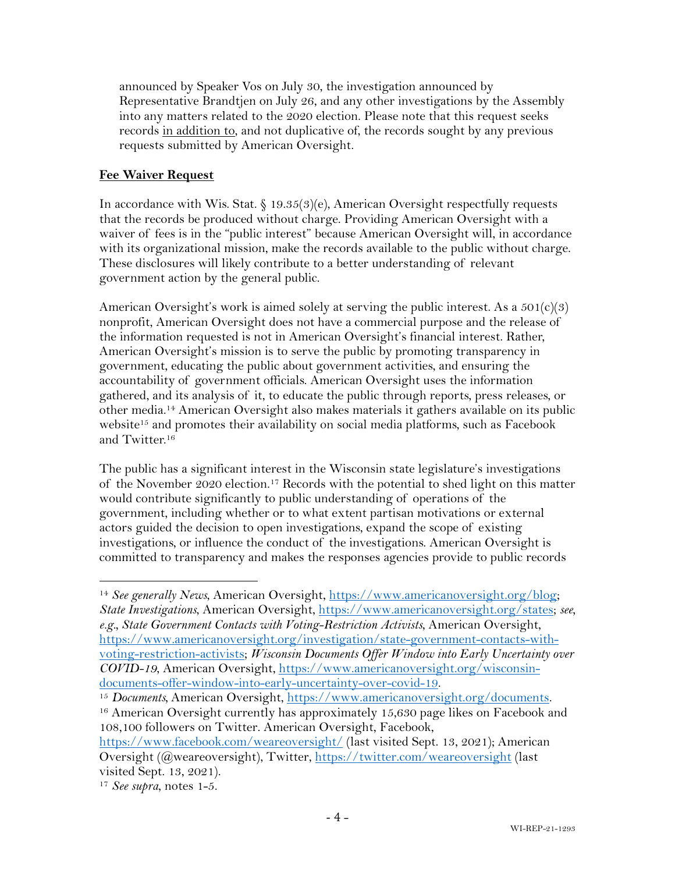announced by Speaker Vos on July 30, the investigation announced by Representative Brandtjen on July 26, and any other investigations by the Assembly into any matters related to the 2020 election. Please note that this request seeks records in addition to, and not duplicative of, the records sought by any previous requests submitted by American Oversight.

### **Fee Waiver Request**

In accordance with Wis. Stat. § 19.35(3)(e), American Oversight respectfully requests that the records be produced without charge. Providing American Oversight with a waiver of fees is in the "public interest" because American Oversight will, in accordance with its organizational mission, make the records available to the public without charge. These disclosures will likely contribute to a better understanding of relevant government action by the general public.

American Oversight's work is aimed solely at serving the public interest. As a  $501(c)(3)$ nonprofit, American Oversight does not have a commercial purpose and the release of the information requested is not in American Oversight's financial interest. Rather, American Oversight's mission is to serve the public by promoting transparency in government, educating the public about government activities, and ensuring the accountability of government officials. American Oversight uses the information gathered, and its analysis of it, to educate the public through reports, press releases, or other media.14 American Oversight also makes materials it gathers available on its public website<sup>15</sup> and promotes their availability on social media platforms, such as Facebook and Twitter.16

The public has a significant interest in the Wisconsin state legislature's investigations of the November 2020 election. <sup>17</sup> Records with the potential to shed light on this matter would contribute significantly to public understanding of operations of the government, including whether or to what extent partisan motivations or external actors guided the decision to open investigations, expand the scope of existing investigations, or influence the conduct of the investigations. American Oversight is committed to transparency and makes the responses agencies provide to public records

<sup>14</sup> *See generally News*, American Oversight, https://www.americanoversight.org/blog; *State Investigations*, American Oversight, https://www.americanoversight.org/states; *see, e.g., State Government Contacts with Voting-Restriction Activists*, American Oversight, https://www.americanoversight.org/investigation/state-government-contacts-withvoting-restriction-activists; *Wisconsin Documents Offer Window into Early Uncertainty over COVID-19*, American Oversight, https://www.americanoversight.org/wisconsindocuments-offer-window-into-early-uncertainty-over-covid-19.

<sup>15</sup> *Documents,* American Oversight, https://www.americanoversight.org/documents.

<sup>&</sup>lt;sup>16</sup> American Oversight currently has approximately 15,630 page likes on Facebook and 108,100 followers on Twitter. American Oversight, Facebook,

https://www.facebook.com/weareoversight/ (last visited Sept. 13, 2021); American Oversight (@weareoversight), Twitter, https://twitter.com/weareoversight (last visited Sept. 13, 2021).

<sup>17</sup> *See supra*, notes 1-5.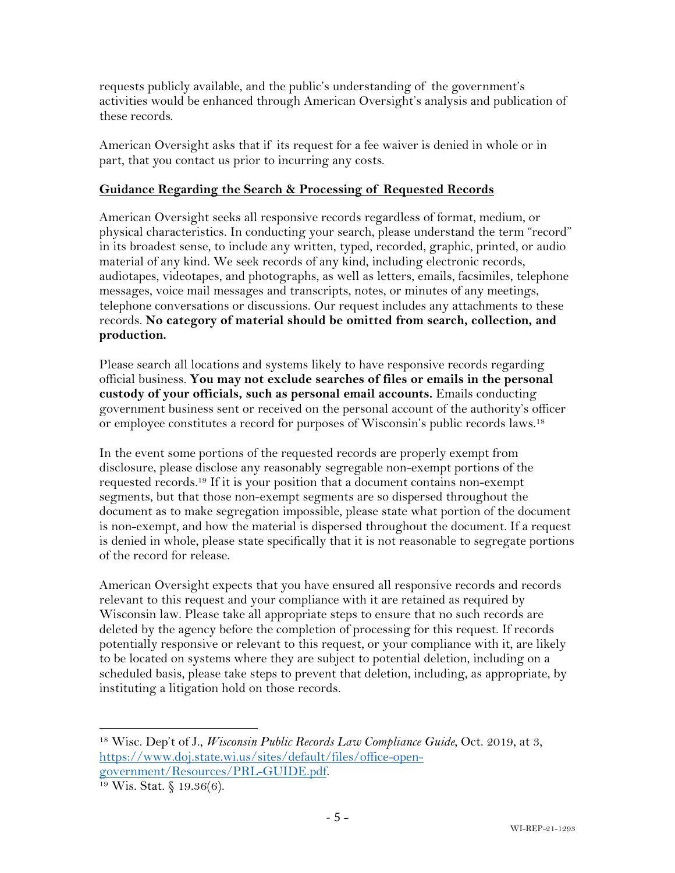requests publicly available, and the public's understanding of the government's activities would be enhanced through American Oversight's analysis and publication of these records.

American Oversight asks that if its request for a fee waiver is denied in whole or in part, that you contact us prior to incurring any costs.

### **Guidance Regarding the Search & Processing of Requested Records**

American Oversight seeks all responsive records regardless of format, medium, or physical characteristics. In conducting your search, please understand the term "record" in its broadest sense, to include any written, typed, recorded, graphic, printed, or audio material of any kind. We seek records of any kind, including electronic records, audiotapes, videotapes, and photographs, as well as letters, emails, facsimiles, telephone messages, voice mail messages and transcripts, notes, or minutes of any meetings, telephone conversations or discussions. Our request includes any attachments to these records. **No category of material should be omitted from search, collection, and production.**

Please search all locations and systems likely to have responsive records regarding official business. **You may not exclude searches of files or emails in the personal custody of your officials, such as personal email accounts.** Emails conducting government business sent or received on the personal account of the authority's officer or employee constitutes a record for purposes of Wisconsin's public records laws.18

In the event some portions of the requested records are properly exempt from disclosure, please disclose any reasonably segregable non-exempt portions of the requested records.19 If it is your position that a document contains non-exempt segments, but that those non-exempt segments are so dispersed throughout the document as to make segregation impossible, please state what portion of the document is non-exempt, and how the material is dispersed throughout the document. If a request is denied in whole, please state specifically that it is not reasonable to segregate portions of the record for release.

American Oversight expects that you have ensured all responsive records and records relevant to this request and your compliance with it are retained as required by Wisconsin law. Please take all appropriate steps to ensure that no such records are deleted by the agency before the completion of processing for this request. If records potentially responsive or relevant to this request, or your compliance with it, are likely to be located on systems where they are subject to potential deletion, including on a scheduled basis, please take steps to prevent that deletion, including, as appropriate, by instituting a litigation hold on those records.

<sup>18</sup> Wisc. Dep't of J., *Wisconsin Public Records Law Compliance Guide*, Oct. 2019, at 3, https://www.doj.state.wi.us/sites/default/files/office-opengovernment/Resources/PRL-GUIDE.pdf. 19 Wis. Stat. § 19.36(6).